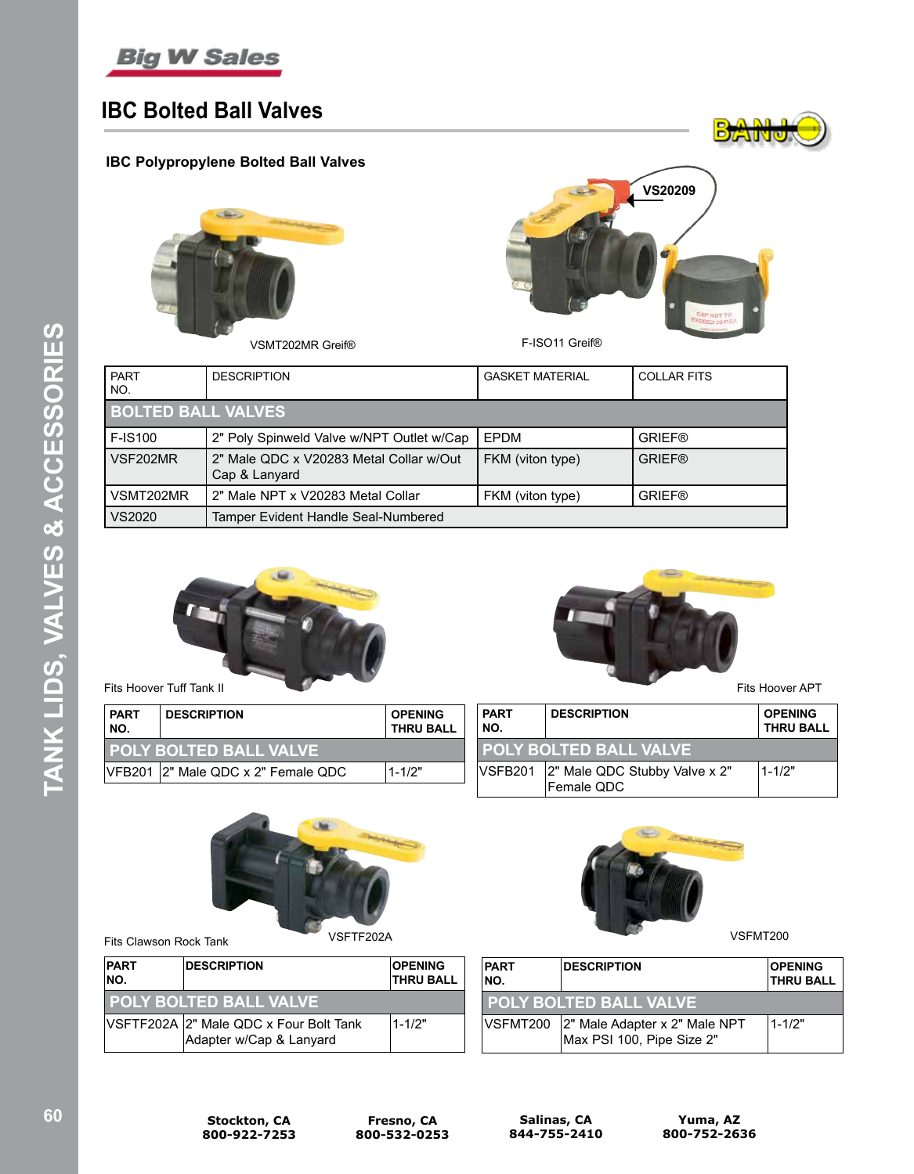

## **IBC Bolted Ball Valves**

### **IBC Polypropylene Bolted Ball Valves**



VSMT202MR Greif® F-ISO11 Greif®



**B**<sub>z</sub>AIN

| <b>PART</b><br>NO.        | <b>DESCRIPTION</b>                                       | <b>GASKET MATERIAL</b> | <b>COLLAR FITS</b> |
|---------------------------|----------------------------------------------------------|------------------------|--------------------|
| <b>BOLTED BALL VALVES</b> |                                                          |                        |                    |
| <b>F-IS100</b>            | 2" Poly Spinweld Valve w/NPT Outlet w/Cap                | EPDM                   | <b>GRIEF®</b>      |
| VSF202MR                  | 2" Male QDC x V20283 Metal Collar w/Out<br>Cap & Lanyard | FKM (viton type)       | <b>GRIEF®</b>      |
| VSMT202MR                 | 2" Male NPT x V20283 Metal Collar                        | FKM (viton type)       | <b>GRIEF®</b>      |
| VS2020                    | Tamper Evident Handle Seal-Numbered                      |                        |                    |



Chairs.

| <b>PART</b><br>NO. | <b>DESCRIPTION</b>            | <b>OPENING</b><br><b>THRU BALL</b> | <b>PART</b><br>NO. |                 | <b>DESCRIPTION</b>            | <b>OPENING</b><br><b>THRU BALL</b> |
|--------------------|-------------------------------|------------------------------------|--------------------|-----------------|-------------------------------|------------------------------------|
|                    | <b>POLY BOLTED BALL VALVE</b> |                                    |                    |                 | I POLY BOLTED BALL VALVE      |                                    |
| <b>VFB201</b>      | 2" Male QDC x 2" Female QDC   | 1-1/2"                             |                    | <b>IVSFB201</b> | 2" Male QDC Stubby Valve x 2" | $1 - 1/2"$                         |
|                    |                               |                                    |                    |                 | <b>Female QDC</b>             |                                    |



Fits Clawson Rock Tank VSFTF202A VSFTF202A

| <b>PART</b><br>NO. | <b>DESCRIPTION</b>                                                | <b>OPENING</b><br><b>THRU BALL</b> |
|--------------------|-------------------------------------------------------------------|------------------------------------|
|                    | <b>POLY BOLTED BALL VALVE</b>                                     |                                    |
|                    | VSFTF202A 2" Male QDC x Four Bolt Tank<br>Adapter w/Cap & Lanyard | 1-1/2"                             |



| <b>PART</b><br>INO. | <b>IDESCRIPTION</b>                                                 |            |
|---------------------|---------------------------------------------------------------------|------------|
|                     | I POLY BOLTED BALL VALVE                                            |            |
|                     | VSFMT200 2" Male Adapter x 2" Male NPT<br>Max PSI 100, Pipe Size 2" | $1 - 1/2"$ |



**TANK LIDS, VALVES & ACCESSORIES**

TANK LIDS, VALVES & ACCESSORIES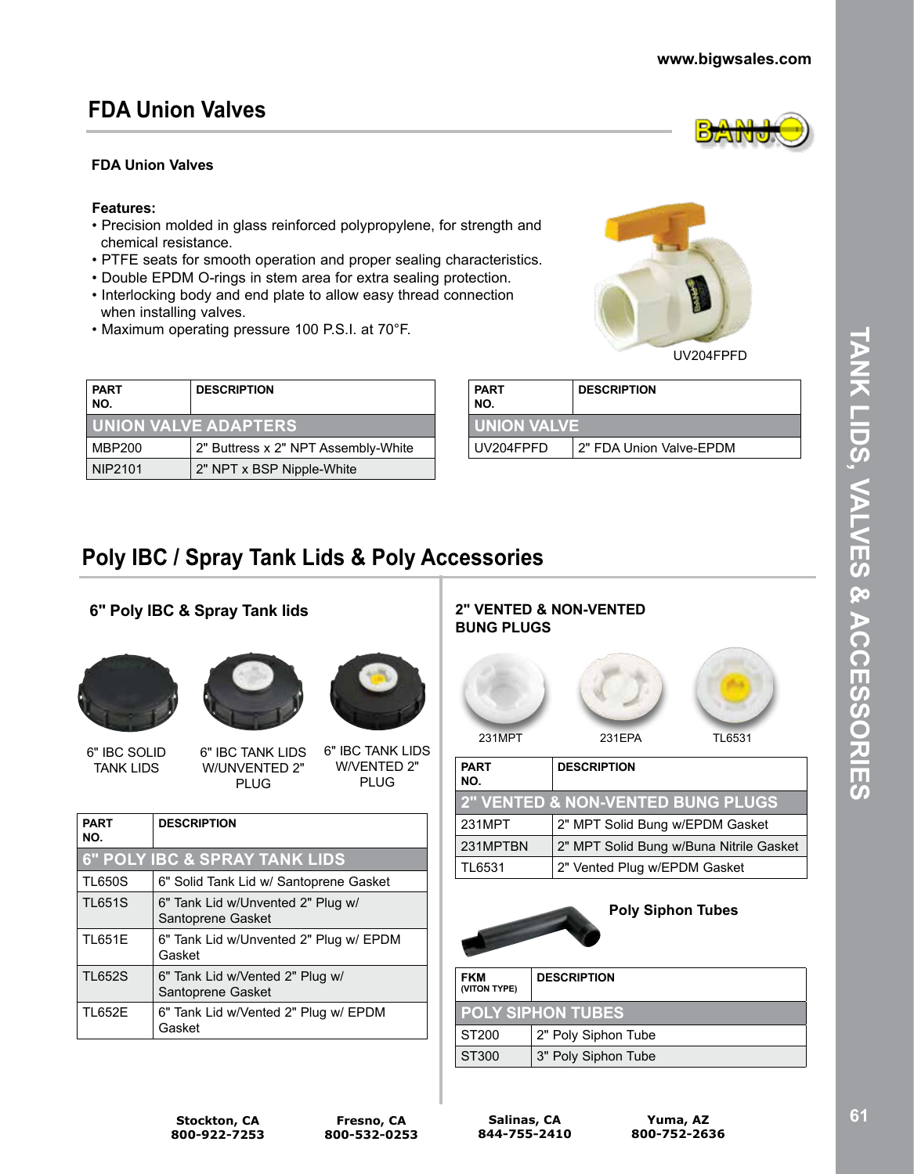## **FDA Union Valves**

### **FDA Union Valves**

#### **Features:**

- Precision molded in glass reinforced polypropylene, for strength and chemical resistance.
- PTFE seats for smooth operation and proper sealing characteristics.
- Double EPDM O-rings in stem area for extra sealing protection.
- Interlocking body and end plate to allow easy thread connection when installing valves.
- Maximum operating pressure 100 P.S.I. at 70°F.

| <b>PART</b><br><b>DESCRIPTION</b><br>NO. |                                     |
|------------------------------------------|-------------------------------------|
|                                          | <b>I UNION VALVE ADAPTERS</b>       |
| MBP200                                   | 2" Buttress x 2" NPT Assembly-White |
| NIP2101                                  | 2" NPT x BSP Nipple-White           |

| <b>PART</b><br>NO. | <b>DESCRIPTION</b>      |  |
|--------------------|-------------------------|--|
| I UNION VALVE      |                         |  |
| UV204FPFD          | 2" FDA Union Valve-EPDM |  |

# **Poly IBC / Spray Tank Lids & Poly Accessories**

## **6" Poly IBC & Spray Tank lids**







6" IBC TANK LIDS W/UNVENTED 2" 6" IBC TANK LIDS W/VENTED 2"

PLUG

| <b>DESCRIPTION</b>                                     |
|--------------------------------------------------------|
| <b>6" POLY IBC &amp; SPRAY TANK LIDS</b>               |
| 6" Solid Tank Lid w/ Santoprene Gasket                 |
| 6" Tank Lid w/Unvented 2" Plug w/<br>Santoprene Gasket |
| 6" Tank Lid w/Unvented 2" Plug w/ EPDM<br>Gasket       |
| 6" Tank Lid w/Vented 2" Plug w/<br>Santoprene Gasket   |
| 6" Tank Lid w/Vented 2" Plug w/ EPDM<br>Gasket         |
|                                                        |

PLUG

#### **2" VENTED & NON-VENTED BUNG PLUGS**



| NO.      |                                              |
|----------|----------------------------------------------|
|          | <b>2" VENTED &amp; NON-VENTED BUNG PLUGS</b> |
| 231MPT   | 2" MPT Solid Bung w/EPDM Gasket              |
| 231MPTBN | 2" MPT Solid Bung w/Buna Nitrile Gasket      |
| TL6531   | 2" Vented Plug w/EPDM Gasket                 |

### **Poly Siphon Tubes**

| <b>FKM</b><br>(VITON TYPE) | <b>DESCRIPTION</b>       |
|----------------------------|--------------------------|
|                            | <b>POLY SIPHON TUBES</b> |
| ST200                      | 2" Poly Siphon Tube      |
| ST300                      | 3" Poly Siphon Tube      |

**Stockton, CA 800-922-7253**



UV204FPFD

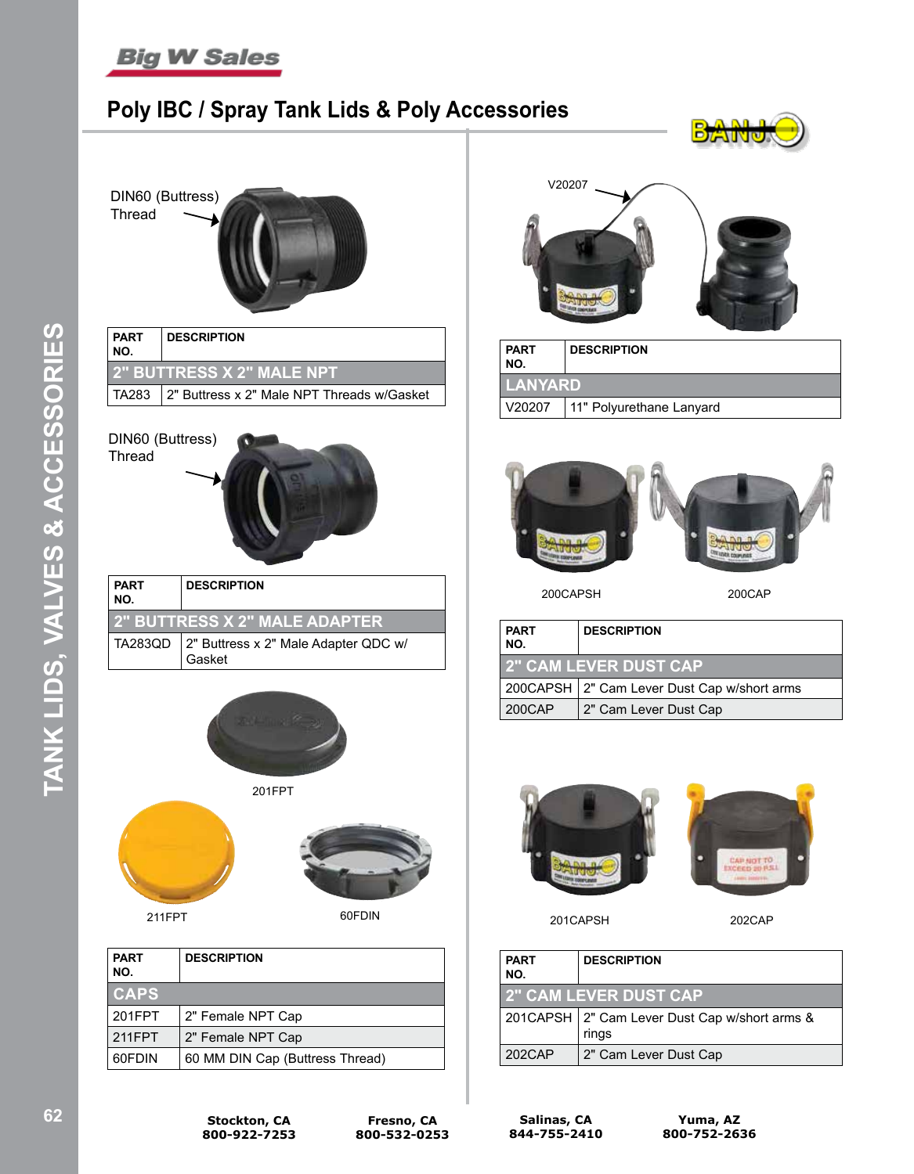

DIN60 (Buttress)

Thread

## **Poly IBC / Spray Tank Lids & Poly Accessories**





TA283  $\vert$  2" Buttress x 2" Male NPT Threads w/Gasket



TA283QD  $|2$ " Buttress x 2" Male Adapter QDC w/ Gasket



211FPT 60FDIN

| <b>PART</b><br>NO. | <b>DESCRIPTION</b>              |
|--------------------|---------------------------------|
| <b>CAPS</b>        |                                 |
| 201FPT             | 2" Female NPT Cap               |
| 211FPT             | 2" Female NPT Cap               |
| 60FDIN             | 60 MM DIN Cap (Buttress Thread) |



BAN

| <b>PART</b><br>  NO.                 | <b>DESCRIPTION</b> |  |
|--------------------------------------|--------------------|--|
| <b>LANYARD</b>                       |                    |  |
| V20207<br>  11" Polyurethane Lanyard |                    |  |



200CAPSH 200CAP

| <b>PART</b><br>NO. | <b>DESCRIPTION</b>                            |
|--------------------|-----------------------------------------------|
|                    | <b>2" CAM LEVER DUST CAP</b>                  |
|                    | 200CAPSH   2" Cam Lever Dust Cap w/short arms |
| 200CAP             | 2" Cam Lever Dust Cap                         |



201CAPSH 202CAP

| <b>PART</b><br>NO. | <b>DESCRIPTION</b>                                       |
|--------------------|----------------------------------------------------------|
|                    | <b>2" CAM LEVER DUST CAP</b>                             |
|                    | 201CAPSH   2" Cam Lever Dust Cap w/short arms &<br>rings |
| 202CAP             | 2" Cam Lever Dust Cap                                    |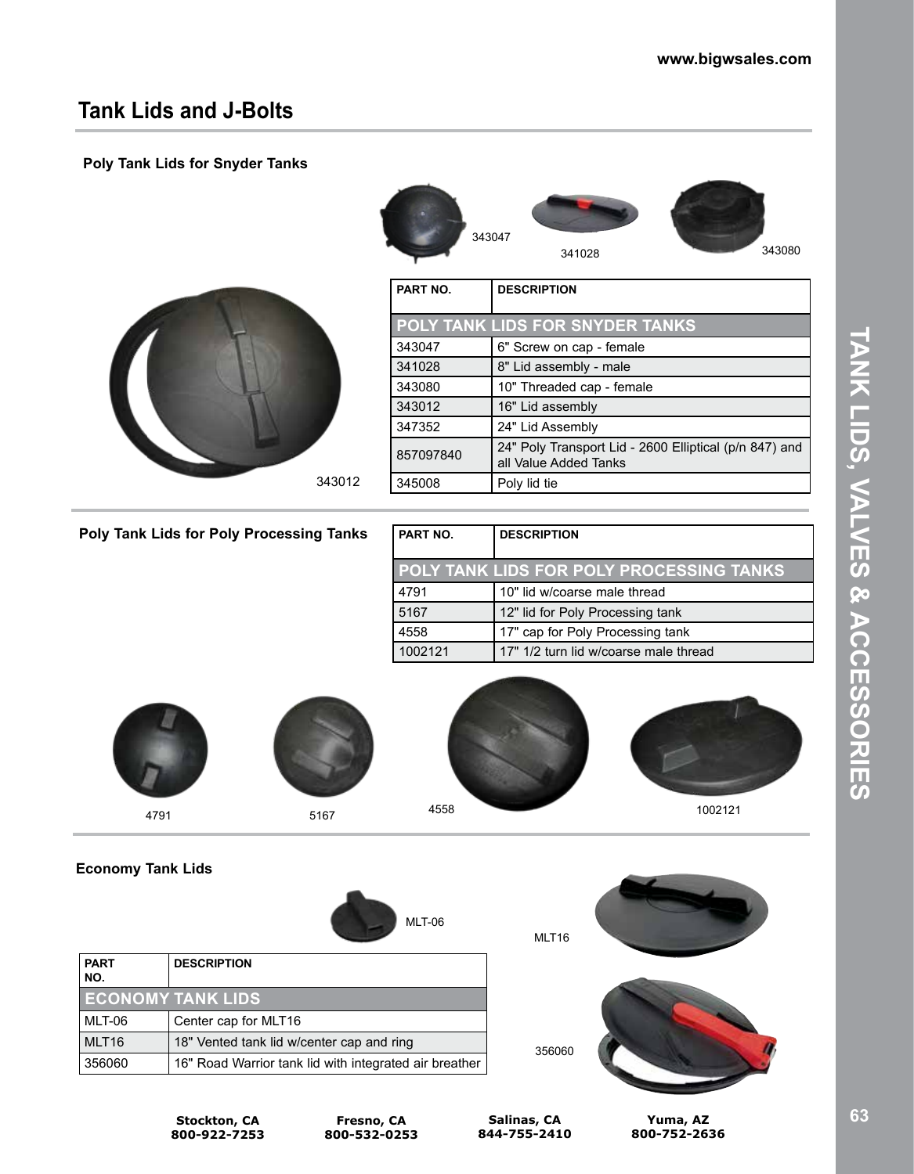## **Tank Lids and J-Bolts**

### **Poly Tank Lids for Snyder Tanks**





| PART NO.  | <b>DESCRIPTION</b>                                                              |
|-----------|---------------------------------------------------------------------------------|
|           | POLY TANK LIDS FOR SNYDER TANKS                                                 |
| 343047    | 6" Screw on cap - female                                                        |
| 341028    | 8" Lid assembly - male                                                          |
| 343080    | 10" Threaded cap - female                                                       |
| 343012    | 16" Lid assembly                                                                |
| 347352    | 24" Lid Assembly                                                                |
| 857097840 | 24" Poly Transport Lid - 2600 Elliptical (p/n 847) and<br>all Value Added Tanks |
| 345008    | Poly lid tie                                                                    |
|           |                                                                                 |

### **Poly Tank Lids for Poly Processing Tanks**

| I PART NO. | <b>DESCRIPTION</b>                              |
|------------|-------------------------------------------------|
|            | <b>POLY TANK LIDS FOR POLY PROCESSING TANKS</b> |
| 4791       | 10" lid w/coarse male thread                    |
| 5167       | 12" lid for Poly Processing tank                |
| 4558       | 17" cap for Poly Processing tank                |
| 1002121    | 17" 1/2 turn lid w/coarse male thread           |









**Economy Tank Lids**







**Stockton, CA 800-922-7253**

**Fresno, CA 800-532-0253**

**Salinas, CA 844-755-2410**

MLT<sub>16</sub>

**Yuma, AZ 800-752-2636**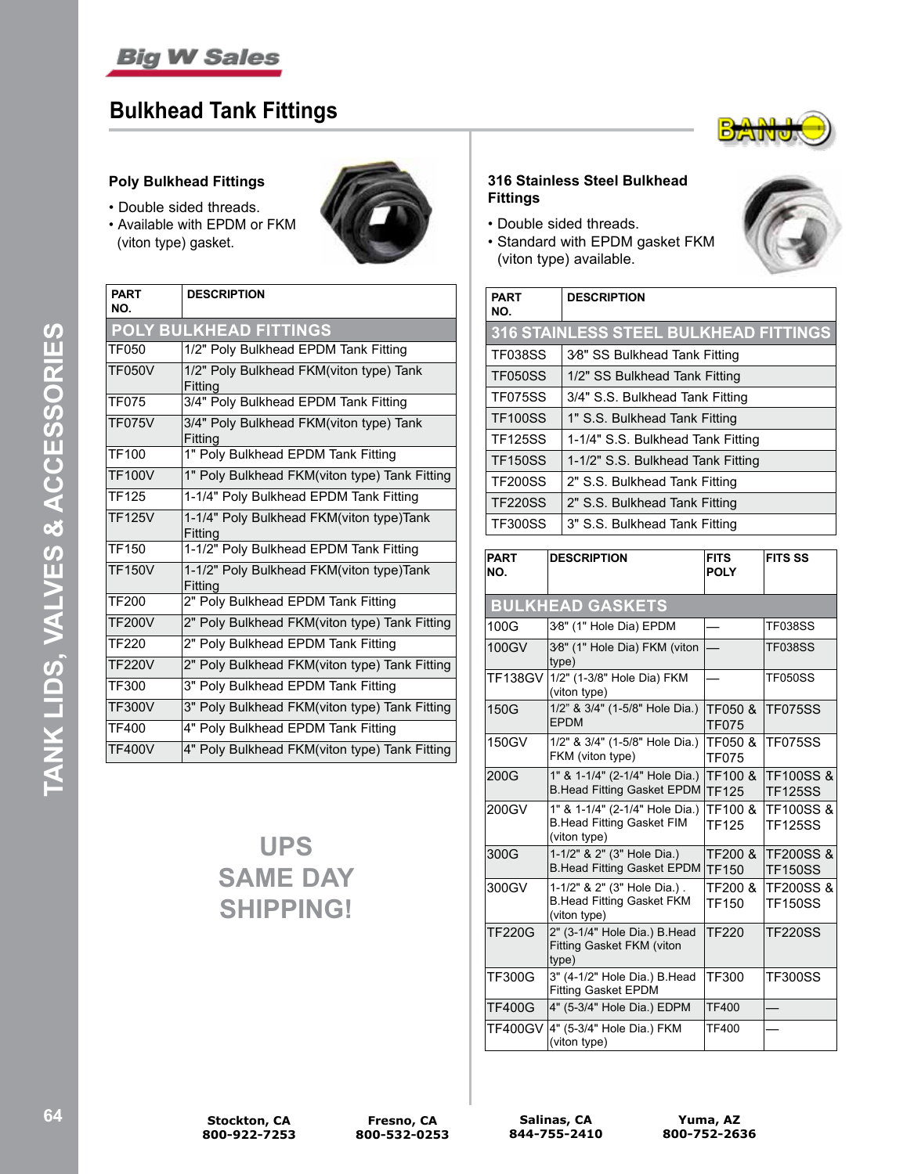

## **Bulkhead Tank Fittings**

### **Poly Bulkhead Fittings**

- Double sided threads.
- Available with EPDM or FKM (viton type) gasket.



| <b>PART</b><br>NO.            | <b>DESCRIPTION</b>                                  |  |
|-------------------------------|-----------------------------------------------------|--|
| <b>POLY BULKHEAD FITTINGS</b> |                                                     |  |
| <b>TF050</b>                  | 1/2" Poly Bulkhead EPDM Tank Fitting                |  |
| <b>TF050V</b>                 | 1/2" Poly Bulkhead FKM(viton type) Tank<br>Fitting  |  |
| <b>TF075</b>                  | 3/4" Poly Bulkhead EPDM Tank Fitting                |  |
| <b>TF075V</b>                 | 3/4" Poly Bulkhead FKM(viton type) Tank<br>Fitting  |  |
| <b>TF100</b>                  | 1" Poly Bulkhead EPDM Tank Fitting                  |  |
| <b>TF100V</b>                 | 1" Poly Bulkhead FKM(viton type) Tank Fitting       |  |
| TF125                         | 1-1/4" Poly Bulkhead EPDM Tank Fitting              |  |
| <b>TF125V</b>                 | 1-1/4" Poly Bulkhead FKM(viton type)Tank<br>Fitting |  |
| <b>TF150</b>                  | 1-1/2" Poly Bulkhead EPDM Tank Fitting              |  |
| <b>TF150V</b>                 | 1-1/2" Poly Bulkhead FKM(viton type)Tank<br>Fitting |  |
| <b>TF200</b>                  | 2" Poly Bulkhead EPDM Tank Fitting                  |  |
| <b>TF200V</b>                 | 2" Poly Bulkhead FKM(viton type) Tank Fitting       |  |
| <b>TF220</b>                  | 2" Poly Bulkhead EPDM Tank Fitting                  |  |
| <b>TF220V</b>                 | 2" Poly Bulkhead FKM(viton type) Tank Fitting       |  |
| TF300                         | 3" Poly Bulkhead EPDM Tank Fitting                  |  |
| <b>TF300V</b>                 | 3" Poly Bulkhead FKM(viton type) Tank Fitting       |  |
| <b>TF400</b>                  | 4" Poly Bulkhead EPDM Tank Fitting                  |  |
| <b>TF400V</b>                 | 4" Poly Bulkhead FKM(viton type) Tank Fitting       |  |

# **UPS SAME DAY SHIPPING!**



### **316 Stainless Steel Bulkhead Fittings**

- Double sided threads.
- Standard with EPDM gasket FKM (viton type) available.



| <b>PART</b><br>NO. | <b>DESCRIPTION</b>                    |
|--------------------|---------------------------------------|
|                    | 316 STAINLESS STEEL BULKHEAD FITTINGS |
| <b>TF038SS</b>     | 3⁄8" SS Bulkhead Tank Fitting         |
| <b>TF050SS</b>     | 1/2" SS Bulkhead Tank Fitting         |
| <b>TF075SS</b>     | 3/4" S.S. Bulkhead Tank Fitting       |
| <b>TF100SS</b>     | 1" S.S. Bulkhead Tank Fitting         |
| <b>TF125SS</b>     | 1-1/4" S.S. Bulkhead Tank Fitting     |
| <b>TF150SS</b>     | 1-1/2" S.S. Bulkhead Tank Fitting     |
| <b>TF200SS</b>     | 2" S.S. Bulkhead Tank Fitting         |
| <b>TF220SS</b>     | 2" S.S. Bulkhead Tank Fitting         |
| <b>TF300SS</b>     | 3" S.S. Bulkhead Tank Fitting         |

| <b>PART</b><br>NO. | <b>DESCRIPTION</b>                                                                 | <b>FITS</b><br><b>POLY</b> | <b>FITS SS</b>                         |
|--------------------|------------------------------------------------------------------------------------|----------------------------|----------------------------------------|
|                    | <b>BULKHEAD GASKETS</b>                                                            |                            |                                        |
| 100G               | 3⁄8" (1" Hole Dia) EPDM                                                            |                            | <b>TF038SS</b>                         |
| 100GV              | 3⁄8" (1" Hole Dia) FKM (viton<br>type)                                             |                            | <b>TF038SS</b>                         |
| TF138GV            | 1/2" (1-3/8" Hole Dia) FKM<br>(viton type)                                         |                            | <b>TF050SS</b>                         |
| 150G               | 1/2" & 3/4" (1-5/8" Hole Dia.)<br><b>FPDM</b>                                      | TF050 &<br><b>TF075</b>    | <b>TF075SS</b>                         |
| 150GV              | 1/2" & 3/4" (1-5/8" Hole Dia.)<br>FKM (viton type)                                 | TF050 &<br><b>TF075</b>    | <b>TF075SS</b>                         |
| 200G               | 1" & 1-1/4" (2-1/4" Hole Dia.)<br><b>B.Head Fitting Gasket EPDM</b>                | TF100 &<br><b>TF125</b>    | <b>TF100SS&amp;</b><br><b>TF125SS</b>  |
| 200GV              | 1" & 1-1/4" (2-1/4" Hole Dia.)<br><b>B.Head Fitting Gasket FIM</b><br>(viton type) | TF100 &<br><b>TF125</b>    | <b>TF100SS&amp;</b><br><b>TF125SS</b>  |
| 300G               | 1-1/2" & 2" (3" Hole Dia.)<br><b>B.Head Fitting Gasket EPDM</b>                    | TF200 &<br><b>TF150</b>    | <b>TF200SS &amp;</b><br><b>TF150SS</b> |
| 300GV              | 1-1/2" & 2" (3" Hole Dia.).<br><b>B.Head Fitting Gasket FKM</b><br>(viton type)    | TF200 &<br><b>TF150</b>    | <b>TF200SS &amp;</b><br><b>TF150SS</b> |
| <b>TF220G</b>      | 2" (3-1/4" Hole Dia.) B.Head<br>Fitting Gasket FKM (viton<br>type)                 | <b>TF220</b>               | <b>TF220SS</b>                         |
| <b>TF300G</b>      | 3" (4-1/2" Hole Dia.) B.Head<br><b>Fitting Gasket EPDM</b>                         | TF300                      | <b>TF300SS</b>                         |
| <b>TF400G</b>      | 4" (5-3/4" Hole Dia.) EDPM                                                         | <b>TF400</b>               |                                        |
| <b>TF400GV</b>     | 4" (5-3/4" Hole Dia.) FKM<br>(viton type)                                          | <b>TF400</b>               |                                        |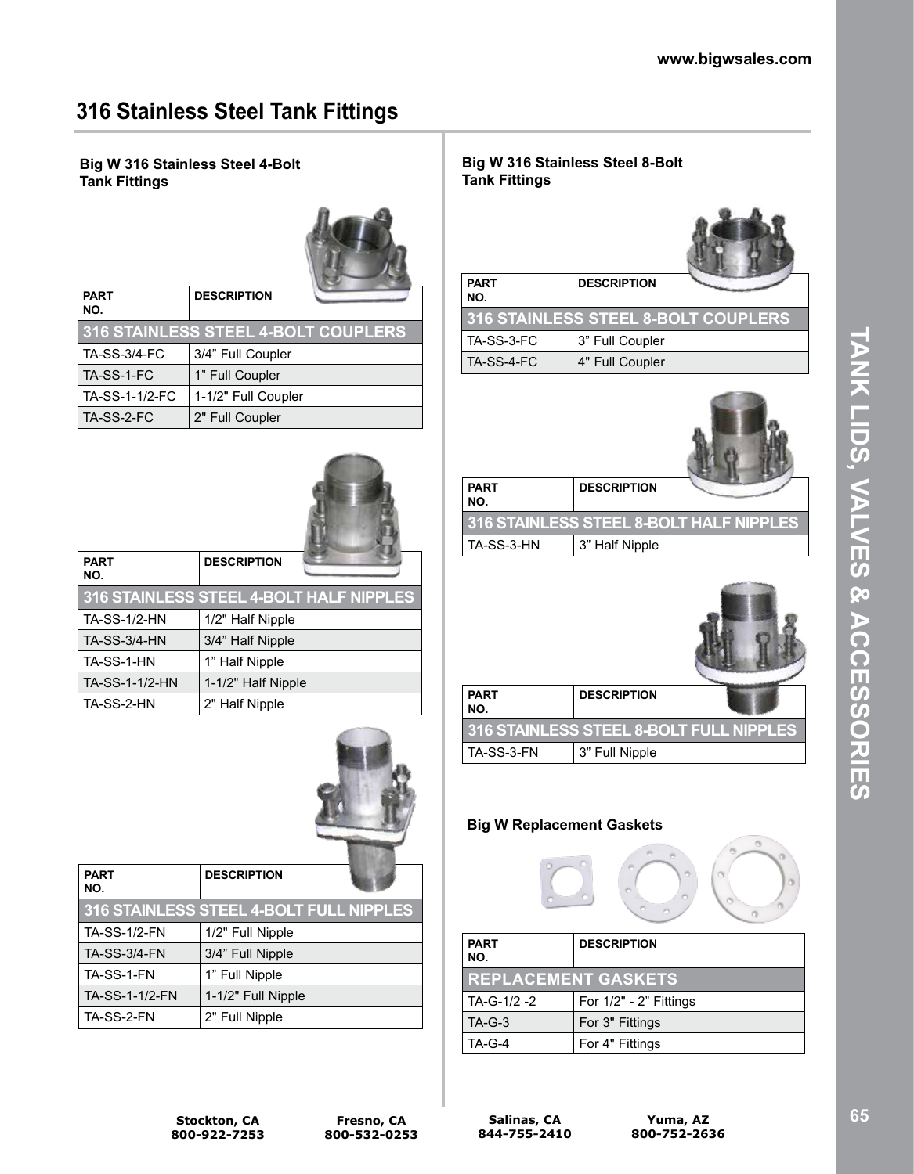# **316 Stainless Steel Tank Fittings**

### **Big W 316 Stainless Steel 4-Bolt Tank Fittings**



 $\sim$ 

| <b>PART</b><br>NO.                         | <b>DESCRIPTION</b>  |  |
|--------------------------------------------|---------------------|--|
| <b>316 STAINLESS STEEL 4-BOLT COUPLERS</b> |                     |  |
| <b>TA-SS-3/4-FC</b>                        | 3/4" Full Coupler   |  |
| TA-SS-1-FC                                 | 1" Full Coupler     |  |
| TA-SS-1-1/2-FC                             | 1-1/2" Full Coupler |  |
| TA-SS-2-FC                                 | 2" Full Coupler     |  |

| <b>PART</b><br>NO.                      | <b>DESCRIPTION</b> |  |
|-----------------------------------------|--------------------|--|
| 316 STAINLESS STEEL 4-BOLT HALF NIPPLES |                    |  |
| <b>TA-SS-1/2-HN</b>                     | 1/2" Half Nipple   |  |
| <b>TA-SS-3/4-HN</b>                     | 3/4" Half Nipple   |  |
| TA-SS-1-HN                              | 1" Half Nipple     |  |
| TA-SS-1-1/2-HN                          | 1-1/2" Half Nipple |  |
| TA-SS-2-HN                              | 2" Half Nipple     |  |



| <b>PART</b><br>NO.  | <b>DESCRIPTION</b>                      |
|---------------------|-----------------------------------------|
|                     | 316 STAINLESS STEEL 4-BOLT FULL NIPPLES |
| <b>TA-SS-1/2-FN</b> | 1/2" Full Nipple                        |
| <b>TA-SS-3/4-FN</b> | 3/4" Full Nipple                        |
| TA-SS-1-FN          | 1" Full Nipple                          |
| TA-SS-1-1/2-FN      | 1-1/2" Full Nipple                      |
| TA-SS-2-FN          | 2" Full Nipple                          |

### **Big W 316 Stainless Steel 8-Bolt Tank Fittings**



| I PART<br>NO. | <b>DESCRIPTION</b>                  |
|---------------|-------------------------------------|
|               | 316 STAINLESS STEEL 8-BOLT COUPLERS |
| l TA-SS-3-FC  | 3" Full Coupler                     |
| TA-SS-4-FC    | 4" Full Coupler                     |



| <b>PART</b><br>NO.                      | <b>DESCRIPTION</b> |  |
|-----------------------------------------|--------------------|--|
| 316 STAINLESS STEEL 8-BOLT HALF NIPPLES |                    |  |
| TA-SS-3-HN                              | 3" Half Nipple     |  |



| <b>PART</b><br>NO.                      | <b>DESCRIPTION</b> |  |
|-----------------------------------------|--------------------|--|
| 316 STAINLESS STEEL 8-BOLT FULL NIPPLES |                    |  |
| TA-SS-3-FN                              | 3" Full Nipple     |  |

### **Big W Replacement Gaskets**



| <b>PART</b><br>NO.         | <b>DESCRIPTION</b>     |
|----------------------------|------------------------|
| <b>REPLACEMENT GASKETS</b> |                        |
| TA-G-1/2 -2                | For 1/2" - 2" Fittings |
| $TA-G-3$                   | For 3" Fittings        |
| $TA-G-4$                   | For 4" Fittings        |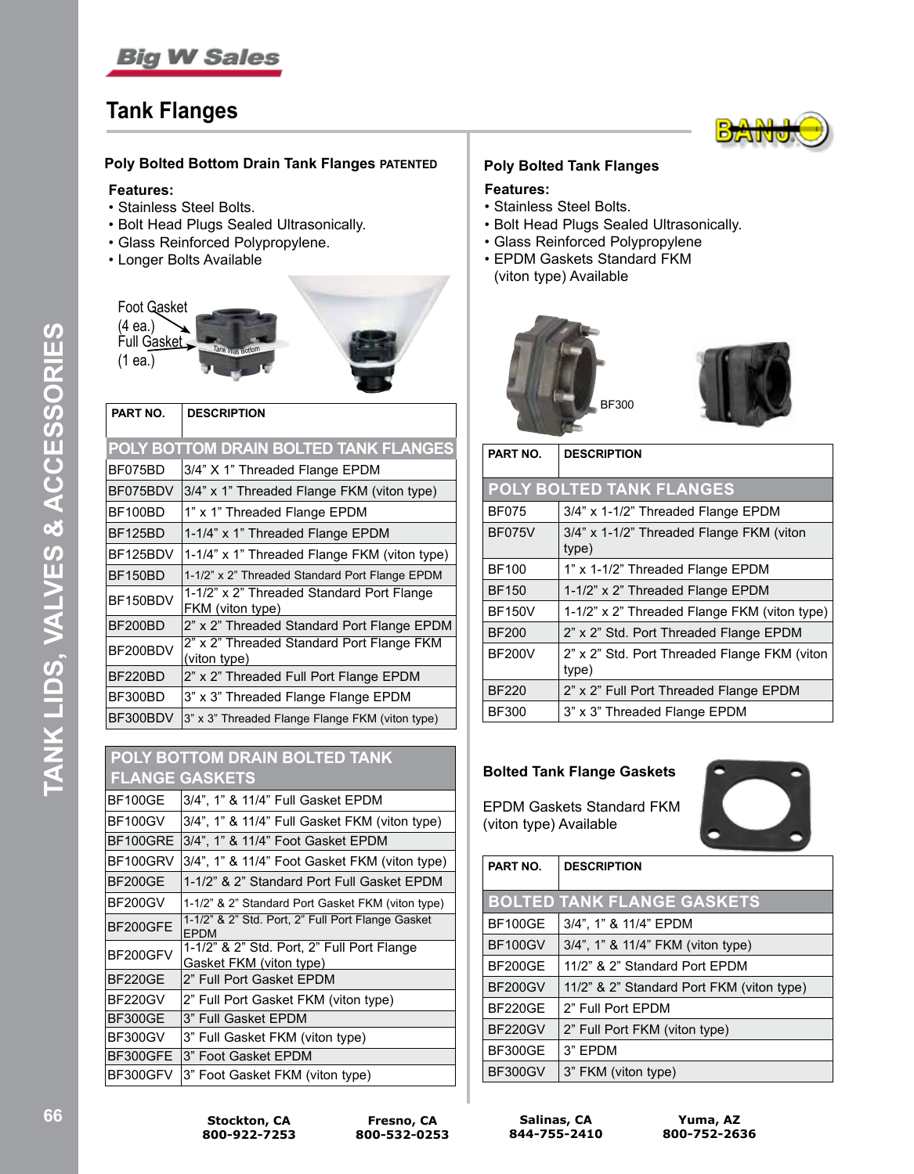

## **Tank Flanges**



#### **Poly Bolted Bottom Drain Tank Flanges PATENTED**

#### **Features:**

- Stainless Steel Bolts.
- Bolt Head Plugs Sealed Ultrasonically.
- Glass Reinforced Polypropylene.
- Longer Bolts Available



| PART NO.                                                                  | <b>DESCRIPTION</b>                              |  |
|---------------------------------------------------------------------------|-------------------------------------------------|--|
|                                                                           | POLY BOTTOM DRAIN BOLTED TANK FLANGES           |  |
| BF075BD                                                                   | 3/4" X 1" Threaded Flange EPDM                  |  |
| BF075BDV                                                                  | 3/4" x 1" Threaded Flange FKM (viton type)      |  |
| BF100BD                                                                   | 1" x 1" Threaded Flange EPDM                    |  |
| BF125BD                                                                   | 1-1/4" x 1" Threaded Flange EPDM                |  |
| BF125BDV                                                                  | 1-1/4" x 1" Threaded Flange FKM (viton type)    |  |
| BF150BD                                                                   | 1-1/2" x 2" Threaded Standard Port Flange EPDM  |  |
| 1-1/2" x 2" Threaded Standard Port Flange<br>BF150BDV<br>FKM (viton type) |                                                 |  |
| BF200BD                                                                   | 2" x 2" Threaded Standard Port Flange EPDM      |  |
| 2" x 2" Threaded Standard Port Flange FKM<br>BF200BDV<br>(viton type)     |                                                 |  |
| BF220BD                                                                   | 2" x 2" Threaded Full Port Flange EPDM          |  |
| BF300BD                                                                   | 3" x 3" Threaded Flange Flange EPDM             |  |
| BF300BDV                                                                  | 3" x 3" Threaded Flange Flange FKM (viton type) |  |

| <b>POLY BOTTOM DRAIN BOLTED TANK</b> |                                                                       |  |
|--------------------------------------|-----------------------------------------------------------------------|--|
|                                      | <b>FLANGE GASKETS</b>                                                 |  |
| <b>BF100GE</b>                       | 3/4", 1" & 11/4" Full Gasket EPDM                                     |  |
| <b>BF100GV</b>                       | 3/4", 1" & 11/4" Full Gasket FKM (viton type)                         |  |
| BF100GRE                             | 3/4", 1" & 11/4" Foot Gasket EPDM                                     |  |
| BF100GRV                             | 3/4", 1" & 11/4" Foot Gasket FKM (viton type)                         |  |
| BF200GE                              | 1-1/2" & 2" Standard Port Full Gasket EPDM                            |  |
| <b>BF200GV</b>                       | 1-1/2" & 2" Standard Port Gasket FKM (viton type)                     |  |
| BF200GFE                             | 1-1/2" & 2" Std. Port, 2" Full Port Flange Gasket<br><b>FPDM</b>      |  |
| BF200GFV                             | 1-1/2" & 2" Std. Port, 2" Full Port Flange<br>Gasket FKM (viton type) |  |
| <b>BF220GE</b>                       | 2" Full Port Gasket EPDM                                              |  |
| <b>BF220GV</b>                       | 2" Full Port Gasket FKM (viton type)                                  |  |
| <b>BF300GE</b>                       | 3" Full Gasket EPDM                                                   |  |
| BF300GV                              | 3" Full Gasket FKM (viton type)                                       |  |
| BF300GFE                             | 3" Foot Gasket EPDM                                                   |  |
| BF300GFV                             | 3" Foot Gasket FKM (viton type)                                       |  |

#### **Poly Bolted Tank Flanges**

#### **Features:**

- Stainless Steel Bolts.
- Bolt Head Plugs Sealed Ultrasonically.
- Glass Reinforced Polypropylene
- EPDM Gaskets Standard FKM (viton type) Available



| PART NO.      | <b>DESCRIPTION</b>                                    |  |  |
|---------------|-------------------------------------------------------|--|--|
|               | <b>POLY BOLTED TANK FLANGES</b>                       |  |  |
| <b>BF075</b>  | 3/4" x 1-1/2" Threaded Flange EPDM                    |  |  |
| <b>BF075V</b> | 3/4" x 1-1/2" Threaded Flange FKM (viton<br>type)     |  |  |
| <b>BF100</b>  | 1" x 1-1/2" Threaded Flange EPDM                      |  |  |
| <b>BF150</b>  | 1-1/2" x 2" Threaded Flange EPDM                      |  |  |
| <b>BF150V</b> | 1-1/2" x 2" Threaded Flange FKM (viton type)          |  |  |
| <b>BF200</b>  | 2" x 2" Std. Port Threaded Flange EPDM                |  |  |
| <b>BF200V</b> | 2" x 2" Std. Port Threaded Flange FKM (viton<br>type) |  |  |
| <b>BF220</b>  | 2" x 2" Full Port Threaded Flange EPDM                |  |  |
| <b>BF300</b>  | 3" x 3" Threaded Flange EPDM                          |  |  |

#### **Bolted Tank Flange Gaskets**

EPDM Gaskets Standard FKM (viton type) Available



| PART NO.       | <b>DESCRIPTION</b>                        |
|----------------|-------------------------------------------|
|                | <b>BOLTED TANK FLANGE GASKETS</b>         |
| <b>BF100GE</b> | 3/4", 1" & 11/4" EPDM                     |
| <b>BF100GV</b> | 3/4", 1" & 11/4" FKM (viton type)         |
| BF200GF        | 11/2" & 2" Standard Port FPDM             |
| <b>BF200GV</b> | 11/2" & 2" Standard Port FKM (viton type) |
| BF220GF        | 2" Full Port EPDM                         |
| <b>BF220GV</b> | 2" Full Port FKM (viton type)             |
| <b>BF300GE</b> | 3" FPDM                                   |
| BF300GV        | 3" FKM (viton type)                       |

**Salinas, CA 844-755-2410**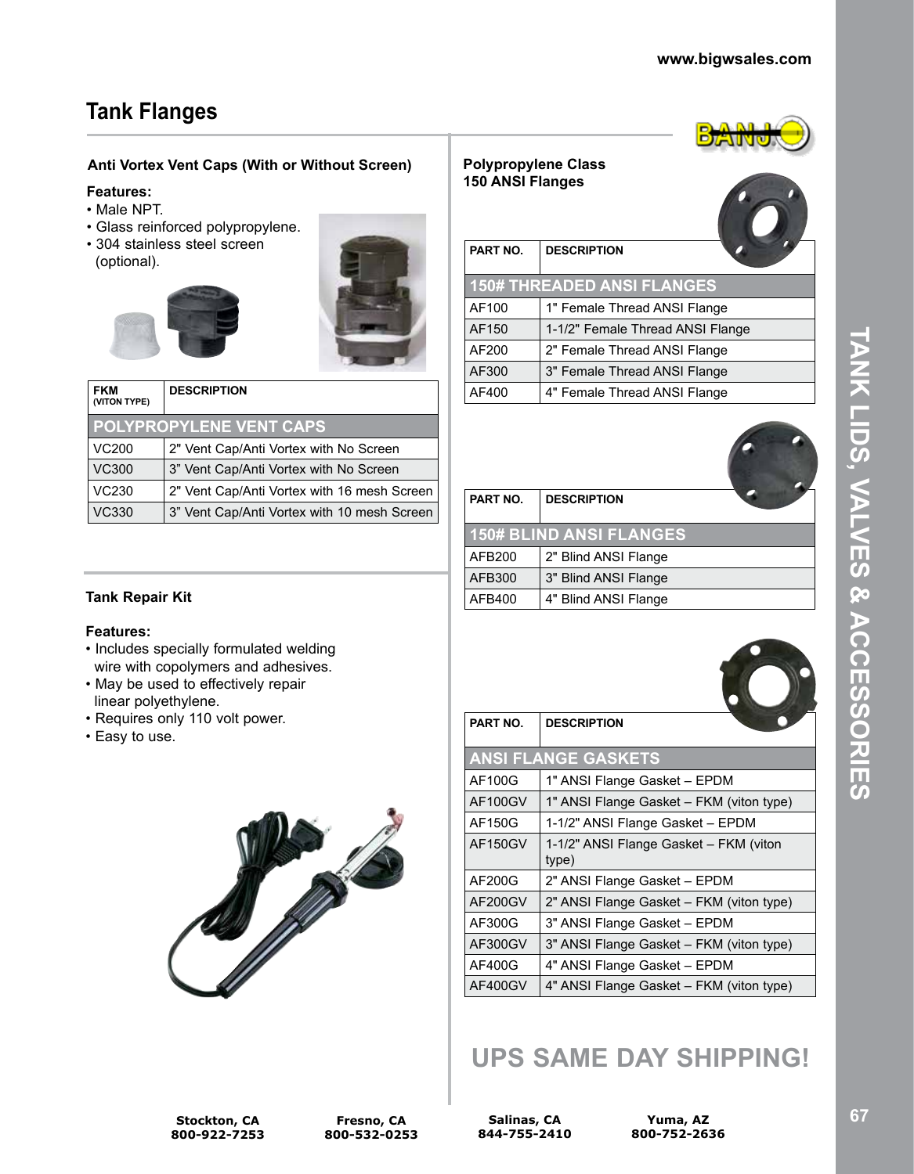# **Tank Flanges**

### **Anti Vortex Vent Caps (With or Without Screen)**

#### **Features:**

- Male NPT.
- Glass reinforced polypropylene.
- 304 stainless steel screen (optional).





| <b>FKM</b><br>(VITON TYPE)     | <b>DESCRIPTION</b>                          |  |
|--------------------------------|---------------------------------------------|--|
| <b>POLYPROPYLENE VENT CAPS</b> |                                             |  |
| VC200                          | 2" Vent Cap/Anti Vortex with No Screen      |  |
| <b>VC300</b>                   | 3" Vent Cap/Anti Vortex with No Screen      |  |
| VC230                          | 2" Vent Cap/Anti Vortex with 16 mesh Screen |  |
| <b>VC330</b>                   | 3" Vent Cap/Anti Vortex with 10 mesh Screen |  |

### **Polypropylene Class 150 ANSI Flanges**



| PART NO. | <b>DESCRIPTION</b>                |
|----------|-----------------------------------|
|          | <b>150# THREADED ANSI FLANGES</b> |
| AF100    | 1" Female Thread ANSI Flange      |
| AF150    | 1-1/2" Female Thread ANSI Flange  |
| AF200    | 2" Female Thread ANSI Flange      |
| AF300    | 3" Female Thread ANSI Flange      |
| AF400    | 4" Female Thread ANSI Flange      |



| PART NO. | <b>DESCRIPTION</b>             |  |
|----------|--------------------------------|--|
|          |                                |  |
|          | <b>150# BLIND ANSI FLANGES</b> |  |
| AFB200   | 2" Blind ANSI Flange           |  |
| AFB300   | 3" Blind ANSI Flange           |  |
| AFB400   | 4" Blind ANSI Flange           |  |

### **Tank Repair Kit**

#### **Features:**

- Includes specially formulated welding wire with copolymers and adhesives.
- May be used to effectively repair linear polyethylene.
- Requires only 110 volt power.
- Easy to use.



| PART NO. | <b>DESCRIPTION</b>                       |  |
|----------|------------------------------------------|--|
|          |                                          |  |
|          | <b>ANSI FLANGE GASKETS</b>               |  |
| AF100G   | 1" ANSI Flange Gasket - EPDM             |  |
| AF100GV  | 1" ANSI Flange Gasket - FKM (viton type) |  |
| AF150G   | 1-1/2" ANSI Flange Gasket - EPDM         |  |
| AF150GV  | 1-1/2" ANSI Flange Gasket - FKM (viton   |  |
|          | type)                                    |  |
| AF200G   | 2" ANSI Flange Gasket - EPDM             |  |
| AF200GV  | 2" ANSI Flange Gasket – FKM (viton type) |  |
| AF300G   | 3" ANSI Flange Gasket - EPDM             |  |
| AF300GV  | 3" ANSI Flange Gasket – FKM (viton type) |  |
| AF400G   | 4" ANSI Flange Gasket - EPDM             |  |
| AF400GV  | 4" ANSI Flange Gasket – FKM (viton type) |  |
|          |                                          |  |

# **UPS SAME DAY SHIPPING!**

**Salinas, CA 844-755-2410**

**Yuma, AZ 800-752-2636** **TANK LIDS, VALVES & ACCESSORIES**

**NATIOS SOCESSORIES**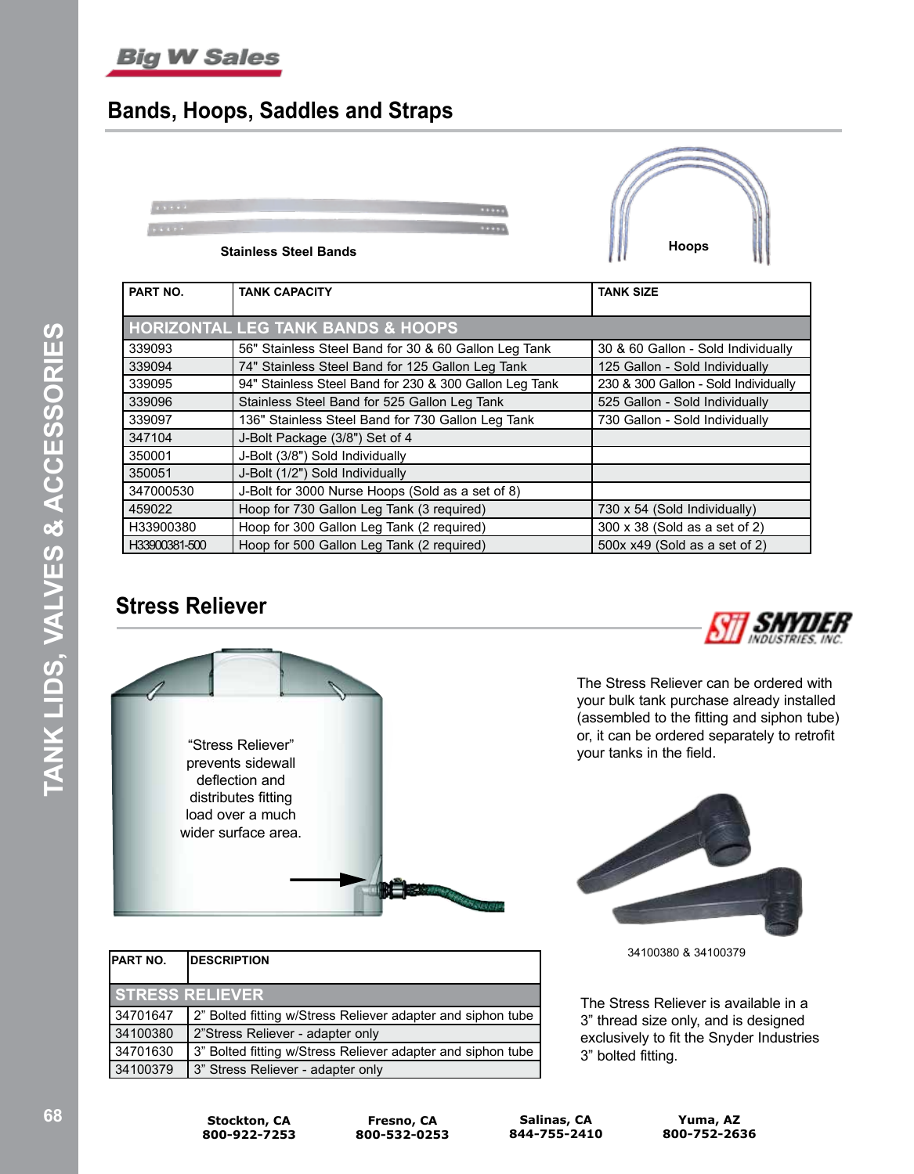# **Big W Sales**

# **Bands, Hoops, Saddles and Straps**



|               | <b>HORIZONTAL LEG TANK BANDS &amp; HOOPS</b>           |                                      |
|---------------|--------------------------------------------------------|--------------------------------------|
| 339093        | 56" Stainless Steel Band for 30 & 60 Gallon Leg Tank   | 30 & 60 Gallon - Sold Individually   |
| 339094        | 74" Stainless Steel Band for 125 Gallon Leg Tank       | 125 Gallon - Sold Individually       |
| 339095        | 94" Stainless Steel Band for 230 & 300 Gallon Leg Tank | 230 & 300 Gallon - Sold Individually |
| 339096        | Stainless Steel Band for 525 Gallon Leg Tank           | 525 Gallon - Sold Individually       |
| 339097        | 136" Stainless Steel Band for 730 Gallon Leg Tank      | 730 Gallon - Sold Individually       |
| 347104        | J-Bolt Package (3/8") Set of 4                         |                                      |
| 350001        | J-Bolt (3/8") Sold Individually                        |                                      |
| 350051        | J-Bolt (1/2") Sold Individually                        |                                      |
| 347000530     | J-Bolt for 3000 Nurse Hoops (Sold as a set of 8)       |                                      |
| 459022        | Hoop for 730 Gallon Leg Tank (3 required)              | 730 x 54 (Sold Individually)         |
| H33900380     | Hoop for 300 Gallon Leg Tank (2 required)              | 300 x 38 (Sold as a set of 2)        |
| H33900381-500 | Hoop for 500 Gallon Leg Tank (2 required)              | 500x x49 (Sold as a set of 2)        |

# **Stress Reliever**



| <b>PART NO.</b> | <b>IDESCRIPTION</b>                                         |
|-----------------|-------------------------------------------------------------|
|                 | <b>STRESS RELIEVER</b>                                      |
| 34701647        | 2" Bolted fitting w/Stress Reliever adapter and siphon tube |
| 34100380        | 2"Stress Reliever - adapter only                            |
| 34701630        | 3" Bolted fitting w/Stress Reliever adapter and siphon tube |
| 34100379        | 3" Stress Reliever - adapter only                           |



The Stress Reliever can be ordered with your bulk tank purchase already installed (assembled to the fitting and siphon tube) or, it can be ordered separately to retrofit your tanks in the field.



34100380 & 34100379

The Stress Reliever is available in a 3" thread size only, and is designed exclusively to fit the Snyder Industries 3" bolted fitting.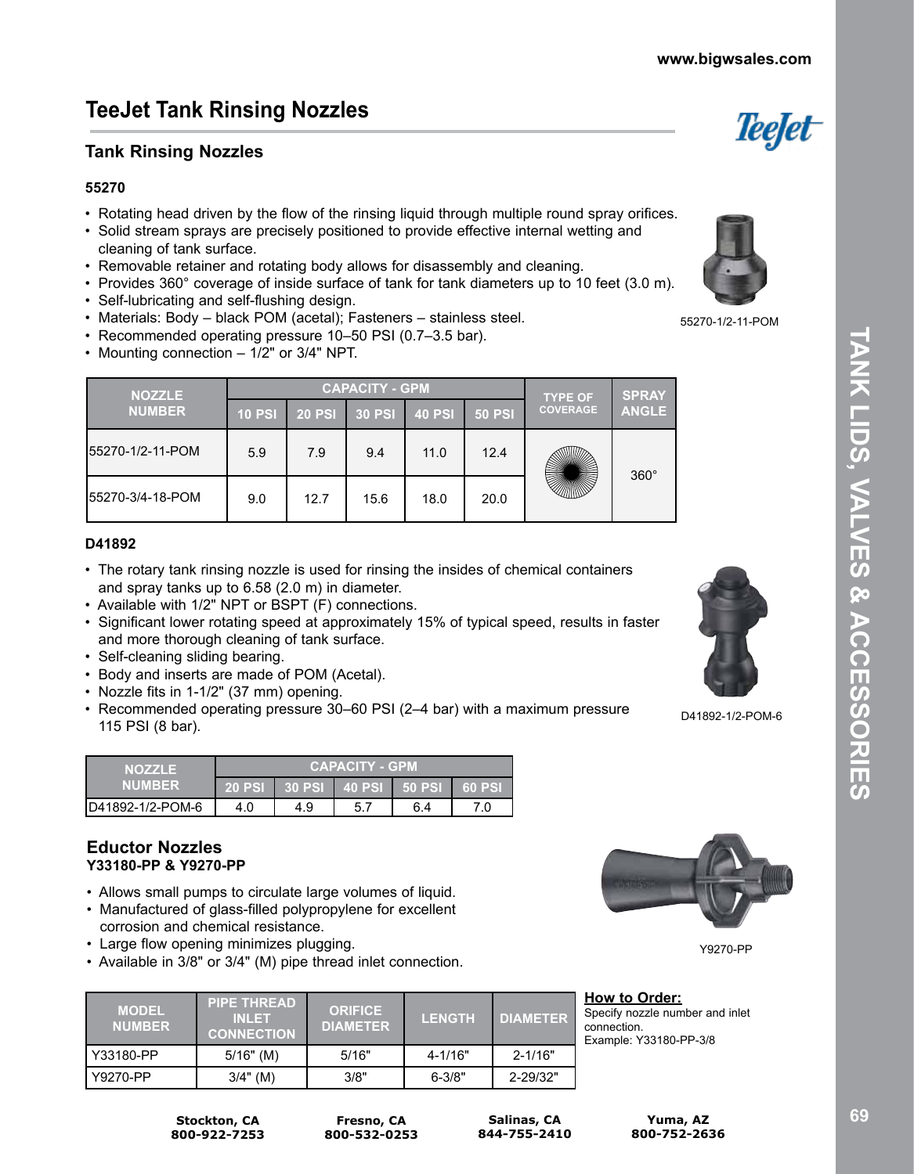# **TeeJet Tank Rinsing Nozzles**

## **Tank Rinsing Nozzles**

### **55270**

- Rotating head driven by the flow of the rinsing liquid through multiple round spray orifices.
- Solid stream sprays are precisely positioned to provide effective internal wetting and cleaning of tank surface.
- Removable retainer and rotating body allows for disassembly and cleaning.
- Provides 360° coverage of inside surface of tank for tank diameters up to 10 feet (3.0 m).
- Self-lubricating and self-flushing design.
- Materials: Body black POM (acetal); Fasteners stainless steel.
- Recommended operating pressure 10–50 PSI (0.7–3.5 bar).
- Mounting connection 1/2" or 3/4" NPT.

| <b>NOZZLE</b>     |        | <b>CAPACITY - GPM</b> | <b>TYPE OF</b> | <b>SPRAY</b>  |               |                 |              |
|-------------------|--------|-----------------------|----------------|---------------|---------------|-----------------|--------------|
| <b>NUMBER</b>     | 10 PSI | <b>20 PSI</b>         | $30$ PSI       | <b>40 PSI</b> | <b>50 PSI</b> | <b>COVERAGE</b> | <b>ANGLE</b> |
| 155270-1/2-11-POM | 5.9    | 7.9                   | 9.4            | 11.0          | 12.4          |                 | $360^\circ$  |
| 55270-3/4-18-POM  | 9.0    | 12.7                  | 15.6           | 18.0          | 20.0          |                 |              |

#### **D41892**

- The rotary tank rinsing nozzle is used for rinsing the insides of chemical containers and spray tanks up to 6.58 (2.0 m) in diameter.
- Available with 1/2" NPT or BSPT (F) connections.
- Significant lower rotating speed at approximately 15% of typical speed, results in faster and more thorough cleaning of tank surface.
- Self-cleaning sliding bearing.
- Body and inserts are made of POM (Acetal).
- Nozzle fits in 1-1/2" (37 mm) opening.
- Recommended operating pressure 30–60 PSI (2–4 bar) with a maximum pressure 115 PSI (8 bar).

| <b>NOZZLE</b><br><b>NUMBER</b> | <b>CAPACITY - GPM</b> |     |      |                        |          |  |  |
|--------------------------------|-----------------------|-----|------|------------------------|----------|--|--|
|                                | <b>20 PSI</b>         |     |      | 30 PSI 40 PSI 50 PSI 1 | ⊦ 60 PSI |  |  |
| ID41892-1/2-POM-6              | 4.0                   | 4.9 | 5. . | 6.4                    |          |  |  |

### **Eductor Nozzles Y33180-PP & Y9270-PP**

- Allows small pumps to circulate large volumes of liquid.
- Manufactured of glass-filled polypropylene for excellent corrosion and chemical resistance.
- Large flow opening minimizes plugging.

**Stockton, CA 800-922-7253**

• Available in 3/8" or 3/4" (M) pipe thread inlet connection.

| <b>MODEL</b><br><b>NUMBER</b> | <b>PIPE THREAD</b> '<br><b>INLET</b><br><b>CONNECTION</b> | <b>ORIFICE</b><br><b>DIAMETER</b> | <b>LENGTH</b> | <b>DIAMETER</b> |
|-------------------------------|-----------------------------------------------------------|-----------------------------------|---------------|-----------------|
| Y33180-PP                     | $5/16"$ (M)                                               | 5/16"                             | $4 - 1/16"$   | $2 - 1/16"$     |
| Y9270-PP                      | $3/4"$ (M)                                                | 3/8"                              | $6 - 3/8"$    | 2-29/32"        |

D41892-1/2-POM-6

**How to Order:** Specify nozzle number and inlet connection. Example: Y33180-PP-3/8

**Yuma, AZ 800-752-2636**

55270-1/2-11-POM







**www.bigwsales.com**